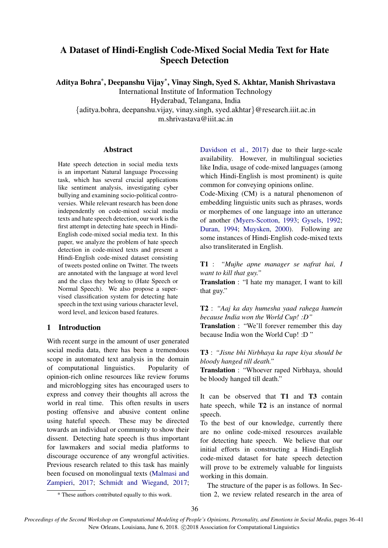# A Dataset of Hindi-English Code-Mixed Social Media Text for Hate Speech Detection

Aditya Bohra\* , Deepanshu Vijay\* , Vinay Singh, Syed S. Akhtar, Manish Shrivastava

International Institute of Information Technology

Hyderabad, Telangana, India

{aditya.bohra, deepanshu.vijay, vinay.singh, syed.akhtar}@research.iiit.ac.in m.shrivastava@iiit.ac.in

### Abstract

Hate speech detection in social media texts is an important Natural language Processing task, which has several crucial applications like sentiment analysis, investigating cyber bullying and examining socio-political controversies. While relevant research has been done independently on code-mixed social media texts and hate speech detection, our work is the first attempt in detecting hate speech in Hindi-English code-mixed social media text. In this paper, we analyze the problem of hate speech detection in code-mixed texts and present a Hindi-English code-mixed dataset consisting of tweets posted online on Twitter. The tweets are annotated with the language at word level and the class they belong to (Hate Speech or Normal Speech). We also propose a supervised classification system for detecting hate speech in the text using various character level, word level, and lexicon based features.

## 1 Introduction

With recent surge in the amount of user generated social media data, there has been a tremendous scope in automated text analysis in the domain of computational linguistics. Popularity of opinion-rich online resources like review forums and microblogging sites has encouraged users to express and convey their thoughts all across the world in real time. This often results in users posting offensive and abusive content online using hateful speech. These may be directed towards an individual or community to show their dissent. Detecting hate speech is thus important for lawmakers and social media platforms to discourage occurence of any wrongful activities. Previous research related to this task has mainly been focused on monolingual texts (Malmasi and Zampieri, 2017; Schmidt and Wiegand, 2017;

Davidson et al., 2017) due to their large-scale availability. However, in multilingual societies like India, usage of code-mixed languages (among which Hindi-English is most prominent) is quite common for conveying opinions online.

Code-Mixing (CM) is a natural phenomenon of embedding linguistic units such as phrases, words or morphemes of one language into an utterance of another (Myers-Scotton, 1993; Gysels, 1992; Duran, 1994; Muysken, 2000). Following are some instances of Hindi-English code-mixed texts also transliterated in English.

T1 : *"Mujhe apne manager se nafrat hai, I want to kill that guy."*

Translation : "I hate my manager, I want to kill that guy."

T2 : *"Aaj ka day humesha yaad rahega humein because India won the World Cup! :D"*

Translation : "We'll forever remember this day because India won the World Cup! :D "

T3 : *"Jisne bhi Nirbhaya ka rape kiya should be bloody hanged till death."*

Translation : "Whoever raped Nirbhaya, should be bloody hanged till death."

It can be observed that **T1** and **T3** contain hate speech, while **T2** is an instance of normal speech.

To the best of our knowledge, currently there are no online code-mixed resources available for detecting hate speech. We believe that our initial efforts in constructing a Hindi-English code-mixed dataset for hate speech detection will prove to be extremely valuable for linguists working in this domain.

The structure of the paper is as follows. In Section 2, we review related research in the area of

<sup>\*</sup> These authors contributed equally to this work.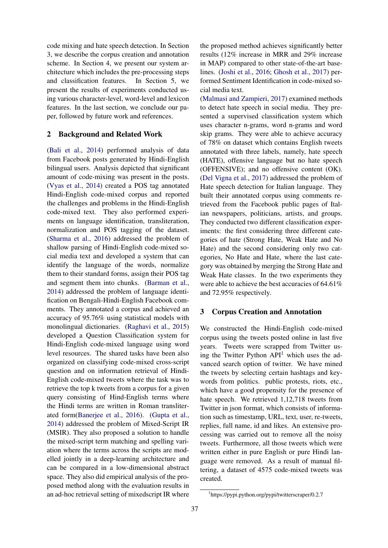code mixing and hate speech detection. In Section 3, we describe the corpus creation and annotation scheme. In Section 4, we present our system architecture which includes the pre-processing steps and classification features. In Section 5, we present the results of experiments conducted using various character-level, word-level and lexicon features. In the last section, we conclude our paper, followed by future work and references.

#### 2 Background and Related Work

(Bali et al., 2014) performed analysis of data from Facebook posts generated by Hindi-English bilingual users. Analysis depicted that significant amount of code-mixing was present in the posts. (Vyas et al., 2014) created a POS tag annotated Hindi-English code-mixed corpus and reported the challenges and problems in the Hindi-English code-mixed text. They also performed experiments on language identification, transliteration, normalization and POS tagging of the dataset. (Sharma et al., 2016) addressed the problem of shallow parsing of Hindi-English code-mixed social media text and developed a system that can identify the language of the words, normalize them to their standard forms, assign their POS tag and segment them into chunks. (Barman et al., 2014) addressed the problem of language identification on Bengali-Hindi-English Facebook comments. They annotated a corpus and achieved an accuracy of 95.76% using statistical models with monolingual dictionaries. (Raghavi et al., 2015) developed a Question Classification system for Hindi-English code-mixed language using word level resources. The shared tasks have been also organized on classifying code-mixed cross-script question and on information retrieval of Hindi-English code-mixed tweets where the task was to retrieve the top k tweets from a corpus for a given query consisting of Hind-English terms where the Hindi terms are written in Roman transliterated form(Banerjee et al., 2016). (Gupta et al., 2014) addressed the problem of Mixed-Script IR (MSIR). They also proposed a solution to handle the mixed-script term matching and spelling variation where the terms across the scripts are modelled jointly in a deep-learning architecture and can be compared in a low-dimensional abstract space. They also did empirical analysis of the proposed method along with the evaluation results in an ad-hoc retrieval setting of mixedscript IR where the proposed method achieves significantly better results (12% increase in MRR and 29% increase in MAP) compared to other state-of-the-art baselines. (Joshi et al., 2016; Ghosh et al., 2017) performed Sentiment Identification in code-mixed social media text.

(Malmasi and Zampieri, 2017) examined methods to detect hate speech in social media. They presented a supervised classification system which uses character n-grams, word n-grams and word skip grams. They were able to achieve accuracy of 78% on dataset which contains English tweets annotated with three labels, namely, hate speech (HATE), offensive language but no hate speech (OFFENSIVE); and no offensive content (OK). (Del Vigna et al., 2017) addressed the problem of Hate speech detection for Italian language. They built their annotated corpus using comments retrieved from the Facebook public pages of Italian newspapers, politicians, artists, and groups. They conducted two different classification experiments: the first considering three different categories of hate (Strong Hate, Weak Hate and No Hate) and the second considering only two categories, No Hate and Hate, where the last category was obtained by merging the Strong Hate and Weak Hate classes. In the two experiments they were able to achieve the best accuracies of 64.61% and 72.95% respectively.

### 3 Corpus Creation and Annotation

We constructed the Hindi-English code-mixed corpus using the tweets posted online in last five years. Tweets were scrapped from Twitter using the Twitter Python  $API<sup>1</sup>$  which uses the advanced search option of twitter. We have mined the tweets by selecting certain hashtags and keywords from politics. public protests, riots, etc., which have a good propensity for the presence of hate speech. We retrieved 1,12,718 tweets from Twitter in json format, which consists of information such as timestamp, URL, text, user, re-tweets, replies, full name, id and likes. An extensive processing was carried out to remove all the noisy tweets. Furthermore, all those tweets which were written either in pure English or pure Hindi language were removed. As a result of manual filtering, a dataset of 4575 code-mixed tweets was created.

<sup>1</sup> https://pypi.python.org/pypi/twitterscraper/0.2.7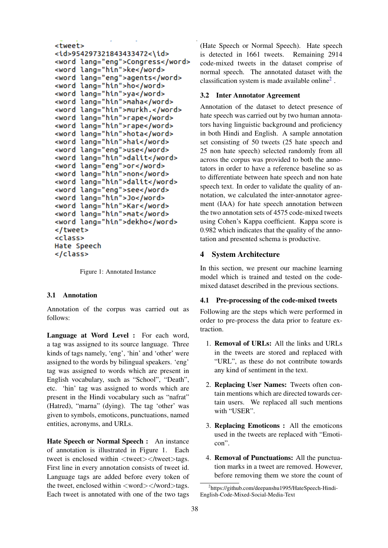```
<tweet>
<id>954297321843433472<\id>
<word lang="eng">Congress</word>
<word lang="hin">ke</word>
<word lang="eng">agents</word>
<word lang="hin">ho</word>
<word lang="hin">ya</word>
<word lang="hin">maha</word>
<word lang="hin">murkh.</word>
<word lang="hin">rape</word>
<word lang="hin">rape</word>
<word lang="hin">hota</word>
<word lang="hin">hai</word>
<word lang="eng">use</word>
<word lang="hin">dalit</word>
<word lang="eng">or</word>
<word lang="hin">non</word>
<word lang="hin">dalit</word>
<word lang="eng">see</word>
<word lang="hin">Jo</word>
<word lang="hin">Kar</word>
<word lang="hin">mat</word>
<word lang="hin">dekho</word>
</tweet>
<class>
Hate Speech
</class>
```
Figure 1: Annotated Instance

#### 3.1 Annotation

Annotation of the corpus was carried out as follows:

Language at Word Level : For each word, a tag was assigned to its source language. Three kinds of tags namely, 'eng', 'hin' and 'other' were assigned to the words by bilingual speakers. 'eng' tag was assigned to words which are present in English vocabulary, such as "School", "Death", etc. 'hin' tag was assigned to words which are present in the Hindi vocabulary such as "nafrat" (Hatred), "marna" (dying). The tag 'other' was given to symbols, emoticons, punctuations, named entities, acronyms, and URLs.

Hate Speech or Normal Speech : An instance of annotation is illustrated in Figure 1. Each tweet is enclosed within <tweet></tweet>tags. First line in every annotation consists of tweet id. Language tags are added before every token of the tweet, enclosed within  $\langle word \rangle \langle word \rangle$  tags. Each tweet is annotated with one of the two tags

(Hate Speech or Normal Speech). Hate speech is detected in 1661 tweets. Remaining 2914 code-mixed tweets in the dataset comprise of normal speech. The annotated dataset with the classification system is made available online<sup>2</sup> .

### 3.2 Inter Annotator Agreement

Annotation of the dataset to detect presence of hate speech was carried out by two human annotators having linguistic background and proficiency in both Hindi and English. A sample annotation set consisting of 50 tweets (25 hate speech and 25 non hate speech) selected randomly from all across the corpus was provided to both the annotators in order to have a reference baseline so as to differentiate between hate speech and non hate speech text. In order to validate the quality of annotation, we calculated the inter-annotator agreement (IAA) for hate speech annotation between the two annotation sets of 4575 code-mixed tweets using Cohen's Kappa coefficient. Kappa score is 0.982 which indicates that the quality of the annotation and presented schema is productive.

### 4 System Architecture

In this section, we present our machine learning model which is trained and tested on the codemixed dataset described in the previous sections.

### 4.1 Pre-processing of the code-mixed tweets

Following are the steps which were performed in order to pre-process the data prior to feature extraction.

- 1. Removal of URLs: All the links and URLs in the tweets are stored and replaced with "URL", as these do not contribute towards any kind of sentiment in the text.
- 2. Replacing User Names: Tweets often contain mentions which are directed towards certain users. We replaced all such mentions with "USER".
- 3. Replacing Emoticons : All the emoticons used in the tweets are replaced with "Emoticon".
- 4. Removal of Punctuations: All the punctuation marks in a tweet are removed. However, before removing them we store the count of

<sup>2</sup> https://github.com/deepanshu1995/HateSpeech-Hindi-English-Code-Mixed-Social-Media-Text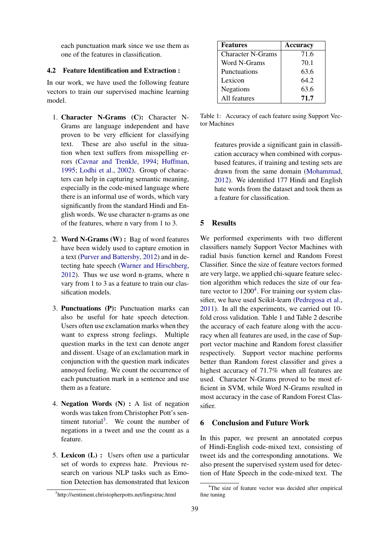each punctuation mark since we use them as one of the features in classification.

### 4.2 Feature Identification and Extraction :

In our work, we have used the following feature vectors to train our supervised machine learning model.

- 1. Character N-Grams (C): Character N-Grams are language independent and have proven to be very efficient for classifying text. These are also useful in the situation when text suffers from misspelling errors (Cavnar and Trenkle, 1994; Huffman, 1995; Lodhi et al., 2002). Group of characters can help in capturing semantic meaning, especially in the code-mixed language where there is an informal use of words, which vary significantly from the standard Hindi and English words. We use character n-grams as one of the features, where n vary from 1 to 3.
- 2. Word N-Grams (W) : Bag of word features have been widely used to capture emotion in a text (Purver and Battersby, 2012) and in detecting hate speech (Warner and Hirschberg, 2012). Thus we use word n-grams, where n vary from 1 to 3 as a feature to train our classification models.
- 3. Punctuations (P): Punctuation marks can also be useful for hate speech detection. Users often use exclamation marks when they want to express strong feelings. Multiple question marks in the text can denote anger and dissent. Usage of an exclamation mark in conjunction with the question mark indicates annoyed feeling. We count the occurrence of each punctuation mark in a sentence and use them as a feature.
- 4. Negation Words (N) : A list of negation words was taken from Christopher Pott's sentiment tutorial<sup>3</sup>. We count the number of negations in a tweet and use the count as a feature.
- 5. Lexicon (L) : Users often use a particular set of words to express hate. Previous research on various NLP tasks such as Emotion Detection has demonstrated that lexicon

| <sup>3</sup> http://sentiment.christopherpotts.net/lingstruc.html |  |
|-------------------------------------------------------------------|--|
|                                                                   |  |
|                                                                   |  |

| <b>Features</b>          | Accuracy |
|--------------------------|----------|
| <b>Character N-Grams</b> | 71.6     |
| Word N-Grams             | 70.1     |
| Punctuations             | 63.6     |
| Lexicon                  | 64.2     |
| Negations                | 63.6     |
| All features             | 71.7     |

Table 1: Accuracy of each feature using Support Vector Machines

features provide a significant gain in classification accuracy when combined with corpusbased features, if training and testing sets are drawn from the same domain (Mohammad, 2012). We identified 177 Hindi and English hate words from the dataset and took them as a feature for classification.

### 5 Results

We performed experiments with two different classifiers namely Support Vector Machines with radial basis function kernel and Random Forest Classifier. Since the size of feature vectors formed are very large, we applied chi-square feature selection algorithm which reduces the size of our feature vector to  $1200<sup>4</sup>$ . For training our system classifier, we have used Scikit-learn (Pedregosa et al., 2011). In all the experiments, we carried out 10 fold cross validation. Table 1 and Table 2 describe the accuracy of each feature along with the accuracy when all features are used, in the case of Support vector machine and Random forest classifier respectively. Support vector machine performs better than Random forest classifier and gives a highest accuracy of 71.7% when all features are used. Character N-Grams proved to be most efficient in SVM, while Word N-Grams resulted in most accuracy in the case of Random Forest Classifier.

### 6 Conclusion and Future Work

In this paper, we present an annotated corpus of Hindi-English code-mixed text, consisting of tweet ids and the corresponding annotations. We also present the supervised system used for detection of Hate Speech in the code-mixed text. The

<sup>&</sup>lt;sup>4</sup>The size of feature vector was decided after empirical fine tuning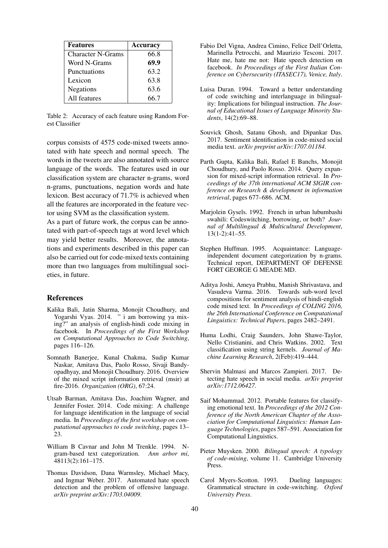| <b>Features</b>          | Accuracy |
|--------------------------|----------|
| <b>Character N-Grams</b> | 66.8     |
| Word N-Grams             | 69.9     |
| Punctuations             | 63.2     |
| Lexicon                  | 63.8     |
| <b>Negations</b>         | 63.6     |
| All features             | 66.7     |

Table 2: Accuracy of each feature using Random Forest Classifier

corpus consists of 4575 code-mixed tweets annotated with hate speech and normal speech. The words in the tweets are also annotated with source language of the words. The features used in our classification system are character n-grams, word n-grams, punctuations, negation words and hate lexicon. Best accuracy of 71.7% is achieved when all the features are incorporated in the feature vector using SVM as the classification system.

As a part of future work, the corpus can be annotated with part-of-speech tags at word level which may yield better results. Moreover, the annotations and experiments described in this paper can also be carried out for code-mixed texts containing more than two languages from multilingual societies, in future.

#### References

- Kalika Bali, Jatin Sharma, Monojit Choudhury, and Yogarshi Vyas. 2014. " i am borrowing ya mixing?" an analysis of english-hindi code mixing in facebook. In *Proceedings of the First Workshop on Computational Approaches to Code Switching*, pages 116–126.
- Somnath Banerjee, Kunal Chakma, Sudip Kumar Naskar, Amitava Das, Paolo Rosso, Sivaji Bandyopadhyay, and Monojit Choudhury. 2016. Overview of the mixed script information retrieval (msir) at fire-2016. *Organization (ORG)*, 67:24.
- Utsab Barman, Amitava Das, Joachim Wagner, and Jennifer Foster. 2014. Code mixing: A challenge for language identification in the language of social media. In *Proceedings of the first workshop on computational approaches to code switching*, pages 13– 23.
- William B Cavnar and John M Trenkle. 1994. Ngram-based text categorization. *Ann arbor mi*, 48113(2):161–175.
- Thomas Davidson, Dana Warmsley, Michael Macy, and Ingmar Weber. 2017. Automated hate speech detection and the problem of offensive language. *arXiv preprint arXiv:1703.04009*.
- Fabio Del Vigna, Andrea Cimino, Felice Dell'Orletta, Marinella Petrocchi, and Maurizio Tesconi. 2017. Hate me, hate me not: Hate speech detection on facebook. *In Proceedings of the First Italian Conference on Cybersecurity (ITASEC17), Venice, Italy*.
- Luisa Duran. 1994. Toward a better understanding of code switching and interlanguage in bilinguality: Implications for bilingual instruction. *The Journal of Educational Issues of Language Minority Students*, 14(2):69–88.
- Souvick Ghosh, Satanu Ghosh, and Dipankar Das. 2017. Sentiment identification in code-mixed social media text. *arXiv preprint arXiv:1707.01184*.
- Parth Gupta, Kalika Bali, Rafael E Banchs, Monojit Choudhury, and Paolo Rosso. 2014. Query expansion for mixed-script information retrieval. In *Proceedings of the 37th international ACM SIGIR conference on Research & development in information retrieval*, pages 677–686. ACM.
- Marjolein Gysels. 1992. French in urban lubumbashi swahili: Codeswitching, borrowing, or both? *Journal of Multilingual & Multicultural Development*, 13(1-2):41–55.
- Stephen Huffman. 1995. Acquaintance: Languageindependent document categorization by n-grams. Technical report, DEPARTMENT OF DEFENSE FORT GEORGE G MEADE MD.
- Aditya Joshi, Ameya Prabhu, Manish Shrivastava, and Vasudeva Varma. 2016. Towards sub-word level compositions for sentiment analysis of hindi-english code mixed text. In *Proceedings of COLING 2016, the 26th International Conference on Computational Linguistics: Technical Papers*, pages 2482–2491.
- Huma Lodhi, Craig Saunders, John Shawe-Taylor, Nello Cristianini, and Chris Watkins. 2002. Text classification using string kernels. *Journal of Machine Learning Research*, 2(Feb):419–444.
- Shervin Malmasi and Marcos Zampieri. 2017. Detecting hate speech in social media. *arXiv preprint arXiv:1712.06427*.
- Saif Mohammad. 2012. Portable features for classifying emotional text. In *Proceedings of the 2012 Conference of the North American Chapter of the Association for Computational Linguistics: Human Language Technologies*, pages 587–591. Association for Computational Linguistics.
- Pieter Muysken. 2000. *Bilingual speech: A typology of code-mixing*, volume 11. Cambridge University Press.
- Carol Myers-Scotton. 1993. Dueling languages: Grammatical structure in code-switching. *Oxford University Press*.